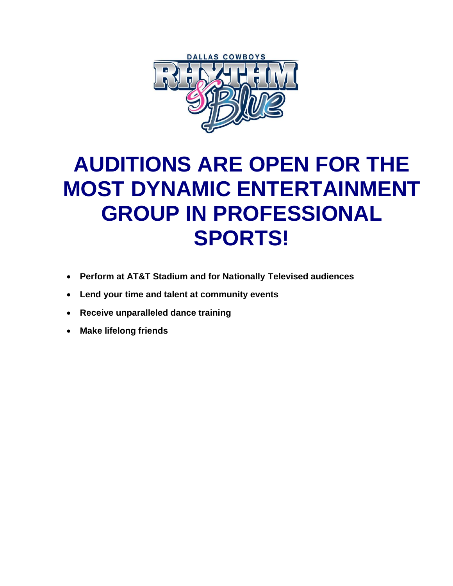

# **AUDITIONS ARE OPEN FOR THE MOST DYNAMIC ENTERTAINMENT GROUP IN PROFESSIONAL SPORTS!**

- **Perform at AT&T Stadium and for Nationally Televised audiences**
- **Lend your time and talent at community events**
- **Receive unparalleled dance training**
- **Make lifelong friends**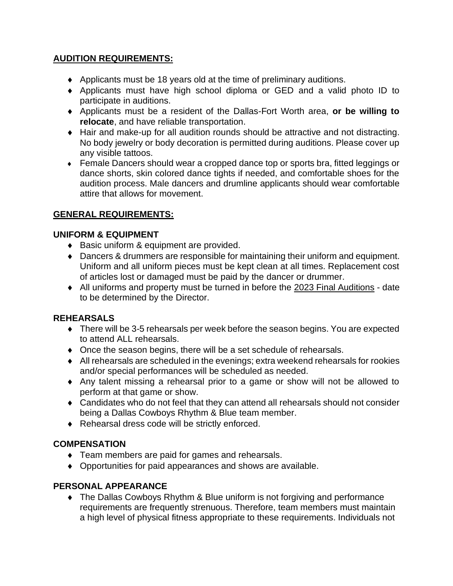### **AUDITION REQUIREMENTS:**

- Applicants must be 18 years old at the time of preliminary auditions.
- Applicants must have high school diploma or GED and a valid photo ID to participate in auditions.
- Applicants must be a resident of the Dallas-Fort Worth area, **or be willing to relocate**, and have reliable transportation.
- Hair and make-up for all audition rounds should be attractive and not distracting. No body jewelry or body decoration is permitted during auditions. Please cover up any visible tattoos.
- Female Dancers should wear a cropped dance top or sports bra, fitted leggings or dance shorts, skin colored dance tights if needed, and comfortable shoes for the audition process. Male dancers and drumline applicants should wear comfortable attire that allows for movement.

### **GENERAL REQUIREMENTS:**

#### **UNIFORM & EQUIPMENT**

- ◆ Basic uniform & equipment are provided.
- Dancers & drummers are responsible for maintaining their uniform and equipment. Uniform and all uniform pieces must be kept clean at all times. Replacement cost of articles lost or damaged must be paid by the dancer or drummer.
- All uniforms and property must be turned in before the 2023 Final Auditions date to be determined by the Director.

#### **REHEARSALS**

- There will be 3-5 rehearsals per week before the season begins. You are expected to attend ALL rehearsals.
- Once the season begins, there will be a set schedule of rehearsals.
- All rehearsals are scheduled in the evenings; extra weekend rehearsals for rookies and/or special performances will be scheduled as needed.
- Any talent missing a rehearsal prior to a game or show will not be allowed to perform at that game or show.
- Candidates who do not feel that they can attend all rehearsals should not consider being a Dallas Cowboys Rhythm & Blue team member.
- ◆ Rehearsal dress code will be strictly enforced.

## **COMPENSATION**

- Team members are paid for games and rehearsals.
- Opportunities for paid appearances and shows are available.

## **PERSONAL APPEARANCE**

• The Dallas Cowboys Rhythm & Blue uniform is not forgiving and performance requirements are frequently strenuous. Therefore, team members must maintain a high level of physical fitness appropriate to these requirements. Individuals not